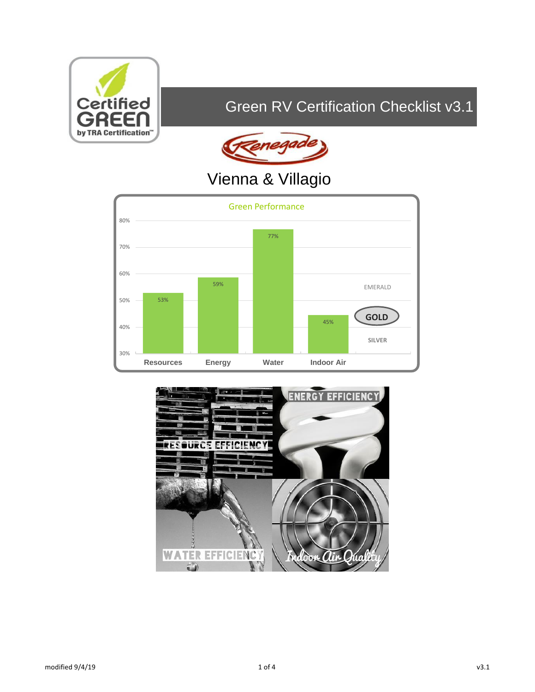

## Green RV Certification Checklist v3.1



# Vienna & Villagio



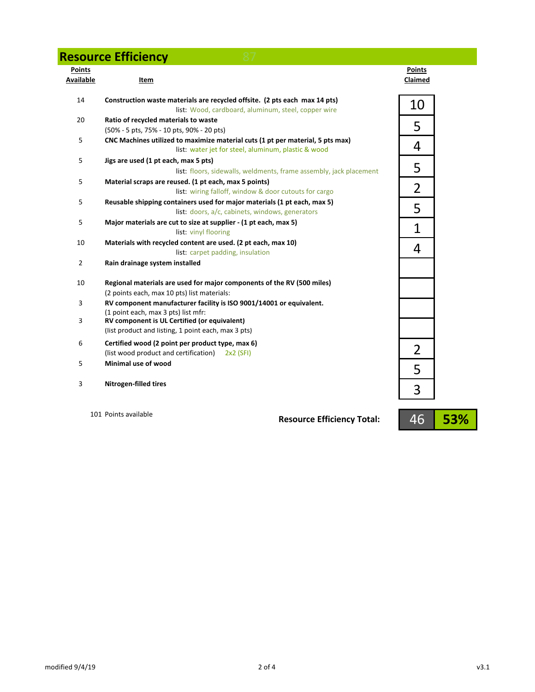#### **Resource Efficiency 87**

| <b>Points</b><br>Available | Item                                                                                                                                  | <b>Points</b><br>Claimed |
|----------------------------|---------------------------------------------------------------------------------------------------------------------------------------|--------------------------|
| 14                         | Construction waste materials are recycled offsite. (2 pts each max 14 pts)<br>list: Wood, cardboard, aluminum, steel, copper wire     | 10                       |
| 20                         | Ratio of recycled materials to waste<br>(50% - 5 pts, 75% - 10 pts, 90% - 20 pts)                                                     | 5                        |
| 5                          | CNC Machines utilized to maximize material cuts (1 pt per material, 5 pts max)<br>list: water jet for steel, aluminum, plastic & wood | 4                        |
| 5                          | Jigs are used (1 pt each, max 5 pts)<br>list: floors, sidewalls, weldments, frame assembly, jack placement                            | 5                        |
| 5                          | Material scraps are reused. (1 pt each, max 5 points)<br>list: wiring falloff, window & door cutouts for cargo                        | 2                        |
| 5                          | Reusable shipping containers used for major materials (1 pt each, max 5)<br>list: doors, a/c, cabinets, windows, generators           | 5                        |
| 5                          | Major materials are cut to size at supplier - (1 pt each, max 5)<br>list: vinyl flooring                                              | $\mathbf 1$              |
| 10                         | Materials with recycled content are used. (2 pt each, max 10)<br>list: carpet padding, insulation                                     | 4                        |
| $\overline{2}$             | Rain drainage system installed                                                                                                        |                          |
| 10                         | Regional materials are used for major components of the RV (500 miles)<br>(2 points each, max 10 pts) list materials:                 |                          |
| 3                          | RV component manufacturer facility is ISO 9001/14001 or equivalent.<br>(1 point each, max 3 pts) list mfr:                            |                          |
| 3                          | RV component is UL Certified (or equivalent)<br>(list product and listing, 1 point each, max 3 pts)                                   |                          |
| 6                          | Certified wood (2 point per product type, max 6)<br>(list wood product and certification) 2x2 (SFI)                                   | $\overline{2}$           |
| 5                          | Minimal use of wood                                                                                                                   | 5                        |
| 3                          | <b>Nitrogen-filled tires</b>                                                                                                          | 3                        |

101 Points available

**Resource Efficiency Total:**

46 **53%**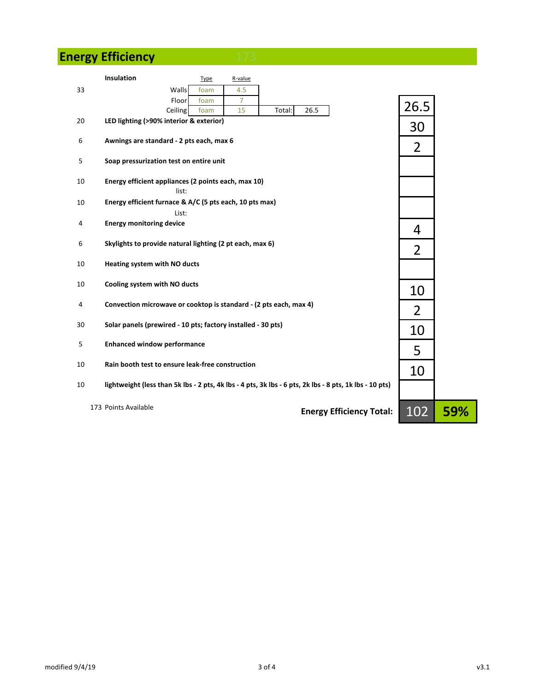### **Energy Efficiency**

|    | Insulation<br>Type<br>R-value                                                                           |                |     |
|----|---------------------------------------------------------------------------------------------------------|----------------|-----|
| 33 | Walls<br>4.5<br>foam                                                                                    |                |     |
|    | $\overline{7}$<br>Floor<br>foam                                                                         | 26.5           |     |
| 20 | Ceiling<br>15<br>Total:<br>26.5<br>foam<br>LED lighting (>90% interior & exterior)                      |                |     |
|    |                                                                                                         | 30             |     |
| 6  | Awnings are standard - 2 pts each, max 6                                                                |                |     |
|    |                                                                                                         | $\overline{2}$ |     |
| 5  | Soap pressurization test on entire unit                                                                 |                |     |
| 10 | Energy efficient appliances (2 points each, max 10)                                                     |                |     |
|    | list:                                                                                                   |                |     |
| 10 | Energy efficient furnace & A/C (5 pts each, 10 pts max)                                                 |                |     |
|    | List:                                                                                                   |                |     |
| 4  | <b>Energy monitoring device</b>                                                                         | 4              |     |
| 6  | Skylights to provide natural lighting (2 pt each, max 6)                                                |                |     |
|    |                                                                                                         | $\overline{2}$ |     |
| 10 | Heating system with NO ducts                                                                            |                |     |
|    |                                                                                                         |                |     |
| 10 | Cooling system with NO ducts                                                                            | 10             |     |
| 4  | Convection microwave or cooktop is standard - (2 pts each, max 4)                                       |                |     |
|    |                                                                                                         | 2              |     |
| 30 | Solar panels (prewired - 10 pts; factory installed - 30 pts)                                            | 10             |     |
| 5  |                                                                                                         |                |     |
|    | <b>Enhanced window performance</b>                                                                      | 5              |     |
| 10 | Rain booth test to ensure leak-free construction                                                        |                |     |
|    |                                                                                                         | 10             |     |
| 10 | lightweight (less than 5k lbs - 2 pts, 4k lbs - 4 pts, 3k lbs - 6 pts, 2k lbs - 8 pts, 1k lbs - 10 pts) |                |     |
|    |                                                                                                         |                |     |
|    | 173 Points Available<br><b>Energy Efficiency Total:</b>                                                 | 102            | 59% |
|    |                                                                                                         |                |     |